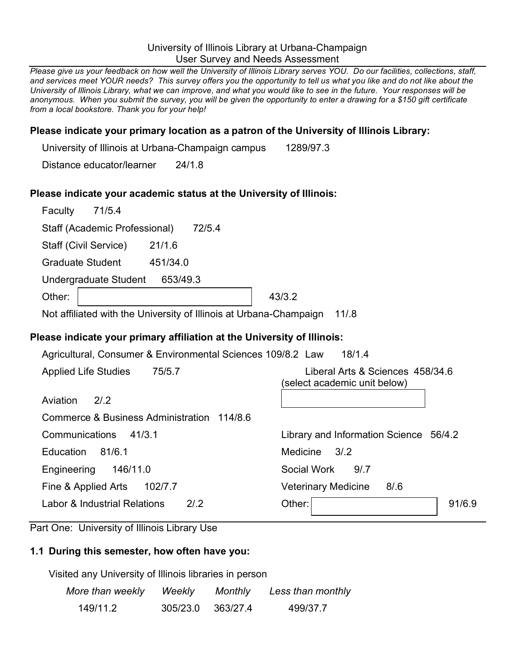### University of Illinois Library at Urbana-Champaign User Survey and Needs Assessment

Please give us your feedback on how well the University of Illinois Library serves YOU. Do our facilities, collections, staff, and services meet YOUR needs? This survey offers you the opportunity to tell us what you like and do not like about the University of Illinois Library, what we can improve, and what you would like to see in the future. Your responses will be anonymous. When you submit the survey, you will be given the opportunity to enter a drawing for a \$150 gift certificate *from a local bookstore. Thank you for your help!*

### **Please indicate your primary location as a patron of the University of Illinois Library:**

University of Illinois at Urbana-Champaign campus 1289/97.3

Distance educator/learner 24/1.8

### **Please indicate your academic status at the University of Illinois:**

| Faculty | 71/5.4                        |          |        |        |
|---------|-------------------------------|----------|--------|--------|
|         | Staff (Academic Professional) |          | 72/5.4 |        |
|         | Staff (Civil Service)         | 21/1.6   |        |        |
|         | <b>Graduate Student</b>       | 451/34.0 |        |        |
|         | Undergraduate Student         | 653/49.3 |        |        |
| Other:  |                               |          |        | 43/3.2 |

Not affiliated with the University of Illinois at Urbana-Champaign 11/.8

# **Please indicate your primary affiliation at the University of Illinois:**

Agricultural, Consumer & Environmental Sciences 109/8.2 Law 18/1.4

Applied Life Studies 75/5.7 Liberal Arts & Sciences 458/34.6

| 2/2 |
|-----|
|     |

| (select academic unit below) |  |
|------------------------------|--|
|                              |  |

| Commerce & Business Administration 114/8.6 |                                        |        |
|--------------------------------------------|----------------------------------------|--------|
| Communications<br>41/3.1                   | Library and Information Science 56/4.2 |        |
| 81/6.1<br><b>Education</b>                 | Medicine 3/2                           |        |
| Engineering 146/11.0                       | Social Work<br>9/7                     |        |
| Fine & Applied Arts<br>102/7.7             | <b>Veterinary Medicine</b><br>8/.6     |        |
| Labor & Industrial Relations<br>2/2        | Other:                                 | 91/6.9 |
|                                            |                                        |        |

Part One: University of Illinois Library Use

# **1.1 During this semester, how often have you:**

Visited any University of Illinois libraries in person

| More than weekly | Weekly   | Monthly  | Less than monthly |
|------------------|----------|----------|-------------------|
| 149/11.2         | 305/23.0 | 363/27.4 | 499/37.7          |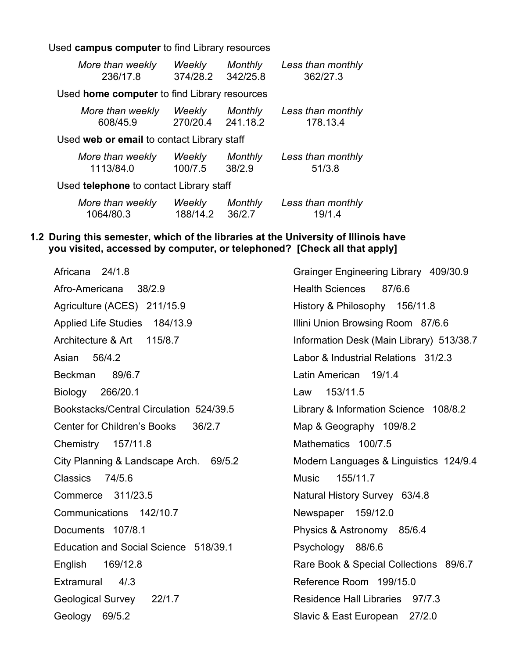Used **campus computer** to find Library resources

| More than weekly                             | <b>Weekly</b> | <b>Monthly</b> | Less than monthly |  |  |  |  |  |
|----------------------------------------------|---------------|----------------|-------------------|--|--|--|--|--|
| 236/17.8                                     | 374/28.2      | 342/25.8       | 362/27.3          |  |  |  |  |  |
| Used home computer to find Library resources |               |                |                   |  |  |  |  |  |
| More than weekly                             | <b>Weekly</b> | Monthly        | Less than monthly |  |  |  |  |  |
| 608/45.9                                     | 270/20.4      | 241.18.2       | 178.13.4          |  |  |  |  |  |
| Used web or email to contact Library staff   |               |                |                   |  |  |  |  |  |
| More than weekly                             | Weekly        | Monthly        | Less than monthly |  |  |  |  |  |
| 1113/84.0                                    | 100/7.5       | 38/2.9         | 51/3.8            |  |  |  |  |  |
| Used telephone to contact Library staff      |               |                |                   |  |  |  |  |  |
| More than weekly                             | Weekly        | Monthly        | Less than monthly |  |  |  |  |  |
| 1064/80.3                                    | 188/14.2      | 36/2.7         | 19/1.4            |  |  |  |  |  |

#### **1.2 During this semester, which of the libraries at the University of Illinois have you visited, accessed by computer, or telephoned? [Check all that apply]**

Africana 24/1.8 Afro-Americana 38/2.9 Agriculture (ACES) 211/15.9 Applied Life Studies 184/13.9 Architecture & Art 115/8.7 Asian 56/4.2 Beckman 89/6.7 Biology 266/20.1 Bookstacks/Central Circulation 524/39.5 Center for Children's Books 36/2.7 Chemistry 157/11.8 City Planning & Landscape Arch. 69/5.2 Classics 74/5.6 Commerce 311/23.5 Communications 142/10.7 Documents 107/8.1 Education and Social Science 518/39.1 English 169/12.8 Extramural 4/.3 Geological Survey 22/1.7 Geology 69/5.2

Grainger Engineering Library 409/30.9 Health Sciences 87/6.6 History & Philosophy 156/11.8 Illini Union Browsing Room 87/6.6 Information Desk (Main Library) 513/38.7 Labor & Industrial Relations 31/2.3 Latin American 19/1.4 Law 153/11.5 Library & Information Science 108/8.2 Map & Geography 109/8.2 Mathematics 100/7.5 Modern Languages & Linguistics 124/9.4 Music 155/11.7 Natural History Survey 63/4.8 Newspaper 159/12.0 Physics & Astronomy 85/6.4 Psychology 88/6.6 Rare Book & Special Collections 89/6.7 Reference Room 199/15.0 Residence Hall Libraries 97/7.3 Slavic & East European 27/2.0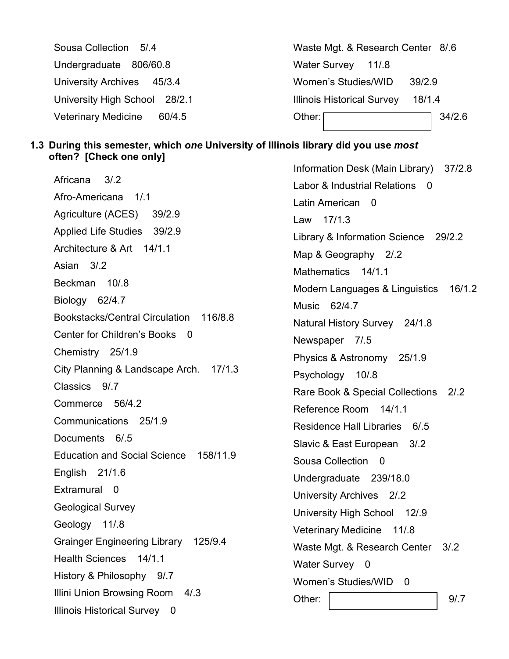| Sousa Collection 5/.4                | Waste Mgt. & Research Center 8/6            |  |  |  |  |  |
|--------------------------------------|---------------------------------------------|--|--|--|--|--|
| Undergraduate 806/60.8               | Water Survey 11/8                           |  |  |  |  |  |
| University Archives 45/3.4           | Women's Studies/WID<br>39/2.9               |  |  |  |  |  |
| University High School 28/2.1        | <b>Illinois Historical Survey</b><br>18/1.4 |  |  |  |  |  |
| <b>Veterinary Medicine</b><br>60/4.5 | Other:<br>34/2.6                            |  |  |  |  |  |

### **1.3 During this semester, which** *one* **University of Illinois library did you use** *most* **often? [Check one only]**

Africana 3/.2 Afro-Americana 1/.1 Agriculture (ACES) 39/2.9 Applied Life Studies 39/2.9 Architecture & Art 14/1.1 Asian 3/.2 Beckman 10/.8 Biology 62/4.7 Bookstacks/Central Circulation 116/8.8 Center for Children's Books 0 Chemistry 25/1.9 City Planning & Landscape Arch. 17/1.3 Classics 9/.7 Commerce 56/4.2 Communications 25/1.9 Documents 6/.5 Education and Social Science 158/11.9 English 21/1.6 Extramural 0 Geological Survey Geology 11/.8 Grainger Engineering Library 125/9.4 Health Sciences 14/1.1 History & Philosophy 9/.7 Illini Union Browsing Room 4/.3 Illinois Historical Survey 0

Information Desk (Main Library) 37/2.8 Labor & Industrial Relations 0 Latin American 0 Law 17/1.3 Library & Information Science 29/2.2 Map & Geography 2/.2 Mathematics 14/1.1 Modern Languages & Linguistics 16/1.2 Music 62/4.7 Natural History Survey 24/1.8 Newspaper 7/.5 Physics & Astronomy 25/1.9 Psychology 10/.8 Rare Book & Special Collections 2/.2 Reference Room 14/1.1 Residence Hall Libraries 6/.5 Slavic & East European 3/.2 Sousa Collection 0 Undergraduate 239/18.0 University Archives 2/.2 University High School 12/.9 Veterinary Medicine 11/.8 Waste Mgt. & Research Center 3/.2 Water Survey 0 Women's Studies/WID 0 Other: 1 9/.7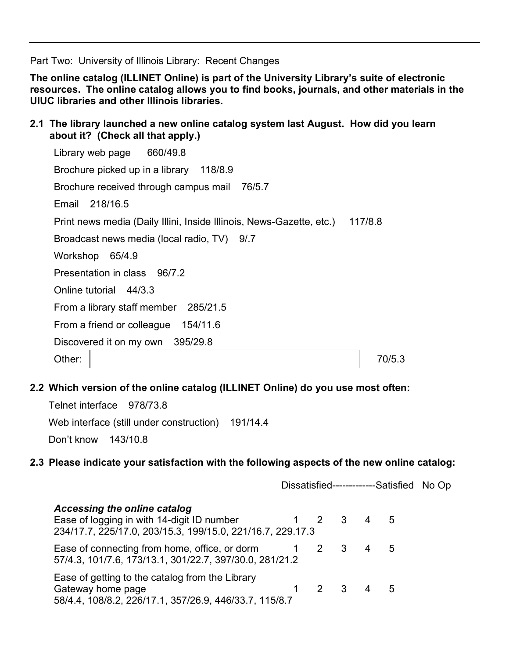Part Two: University of Illinois Library: Recent Changes

**The online catalog (ILLINET Online) is part of the University Library's suite of electronic resources. The online catalog allows you to find books, journals, and other materials in the UIUC libraries and other Illinois libraries.**

**2.1 The library launched a new online catalog system last August. How did you learn about it? (Check all that apply.)**

| Library web page 660/49.8                                            |         |
|----------------------------------------------------------------------|---------|
| Brochure picked up in a library 118/8.9                              |         |
| Brochure received through campus mail 76/5.7                         |         |
| Email 218/16.5                                                       |         |
| Print news media (Daily Illini, Inside Illinois, News-Gazette, etc.) | 117/8.8 |
| Broadcast news media (local radio, TV) 9/.7                          |         |
| Workshop<br>65/4.9                                                   |         |
| Presentation in class 96/7.2                                         |         |
| Online tutorial 44/3.3                                               |         |
| From a library staff member 285/21.5                                 |         |
| From a friend or colleague 154/11.6                                  |         |
| Discovered it on my own 395/29.8                                     |         |
| Other:                                                               | 70/5.3  |

**2.2 Which version of the online catalog (ILLINET Online) do you use most often:**

| Telnet interface 978/73.8 |                                                   |  |
|---------------------------|---------------------------------------------------|--|
|                           | Web interface (still under construction) 191/14.4 |  |
| Don't know 143/10.8       |                                                   |  |

### **2.3 Please indicate your satisfaction with the following aspects of the new online catalog:**

|                                                                                                                                          |           |                     | Dissatisfied-------------Satisfied No Op |  |
|------------------------------------------------------------------------------------------------------------------------------------------|-----------|---------------------|------------------------------------------|--|
| Accessing the online catalog<br>Ease of logging in with 14-digit ID number<br>234/17.7, 225/17.0, 203/15.3, 199/15.0, 221/16.7, 229.17.3 | 1 2 3 4 5 |                     |                                          |  |
| Ease of connecting from home, office, or dorm<br>57/4.3, 101/7.6, 173/13.1, 301/22.7, 397/30.0, 281/21.2                                 | 2 3 4     |                     | 5                                        |  |
| Ease of getting to the catalog from the Library<br>Gateway home page<br>58/4.4, 108/8.2, 226/17.1, 357/26.9, 446/33.7, 115/8.7           |           | $2 \quad 3 \quad 4$ | 5                                        |  |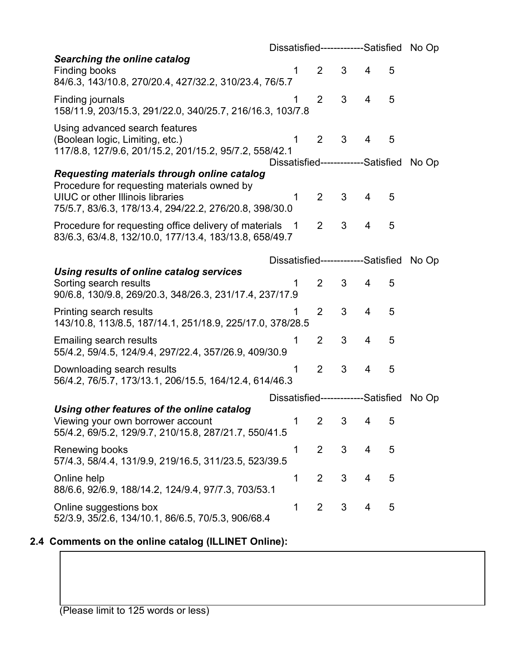|                                                                                   | Dissatisfied-------------Satisfied No Op  |                |   |   |   |       |
|-----------------------------------------------------------------------------------|-------------------------------------------|----------------|---|---|---|-------|
| <b>Searching the online catalog</b>                                               |                                           |                |   |   |   |       |
| Finding books                                                                     | 1                                         | $\overline{2}$ | 3 | 4 | 5 |       |
| 84/6.3, 143/10.8, 270/20.4, 427/32.2, 310/23.4, 76/5.7                            |                                           |                |   |   |   |       |
| Finding journals                                                                  | 1                                         | 2              | 3 | 4 | 5 |       |
| 158/11.9, 203/15.3, 291/22.0, 340/25.7, 216/16.3, 103/7.8                         |                                           |                |   |   |   |       |
| Using advanced search features                                                    |                                           |                |   |   |   |       |
| (Boolean logic, Limiting, etc.)                                                   | 1                                         | $\overline{2}$ | 3 | 4 | 5 |       |
| 117/8.8, 127/9.6, 201/15.2, 201/15.2, 95/7.2, 558/42.1                            |                                           |                |   |   |   |       |
|                                                                                   | Dissatisfied--------------Satisfied No Op |                |   |   |   |       |
| Requesting materials through online catalog                                       |                                           |                |   |   |   |       |
| Procedure for requesting materials owned by                                       |                                           |                |   |   |   |       |
| <b>UIUC</b> or other Illinois libraries                                           | 1                                         | 2              | 3 | 4 | 5 |       |
| 75/5.7, 83/6.3, 178/13.4, 294/22.2, 276/20.8, 398/30.0                            |                                           |                |   |   |   |       |
| Procedure for requesting office delivery of materials                             | $\overline{\phantom{1}}$                  | $\overline{2}$ | 3 | 4 | 5 |       |
| 83/6.3, 63/4.8, 132/10.0, 177/13.4, 183/13.8, 658/49.7                            |                                           |                |   |   |   |       |
|                                                                                   |                                           |                |   |   |   |       |
|                                                                                   | Dissatisfied--------------Satisfied       |                |   |   |   | No Op |
| Using results of online catalog services                                          |                                           |                | 3 |   |   |       |
| Sorting search results<br>90/6.8, 130/9.8, 269/20.3, 348/26.3, 231/17.4, 237/17.9 | 1                                         | 2              |   | 4 | 5 |       |
|                                                                                   |                                           |                |   |   |   |       |
| Printing search results                                                           | 1                                         | $\overline{2}$ | 3 | 4 | 5 |       |
| 143/10.8, 113/8.5, 187/14.1, 251/18.9, 225/17.0, 378/28.5                         |                                           |                |   |   |   |       |
| <b>Emailing search results</b>                                                    |                                           | $\overline{2}$ | 3 | 4 | 5 |       |
| 55/4.2, 59/4.5, 124/9.4, 297/22.4, 357/26.9, 409/30.9                             |                                           |                |   |   |   |       |
| Downloading search results                                                        | 1                                         | $\overline{2}$ | 3 | 4 | 5 |       |
| 56/4.2, 76/5.7, 173/13.1, 206/15.5, 164/12.4, 614/46.3                            |                                           |                |   |   |   |       |
|                                                                                   |                                           |                |   |   |   |       |
| Using other features of the online catalog                                        | Dissatisfied--------------Satisfied       |                |   |   |   | No Op |
| Viewing your own borrower account                                                 | 1                                         | $\overline{2}$ | 3 | 4 | 5 |       |
| 55/4.2, 69/5.2, 129/9.7, 210/15.8, 287/21.7, 550/41.5                             |                                           |                |   |   |   |       |
|                                                                                   |                                           |                |   |   |   |       |
| Renewing books                                                                    | 1                                         | $\overline{2}$ | 3 | 4 | 5 |       |
| 57/4.3, 58/4.4, 131/9.9, 219/16.5, 311/23.5, 523/39.5                             |                                           |                |   |   |   |       |
| Online help                                                                       | 1                                         | $\overline{2}$ | 3 | 4 | 5 |       |
| 88/6.6, 92/6.9, 188/14.2, 124/9.4, 97/7.3, 703/53.1                               |                                           |                |   |   |   |       |
| Online suggestions box                                                            | 1                                         | $\overline{2}$ | 3 | 4 | 5 |       |
| 52/3.9, 35/2.6, 134/10.1, 86/6.5, 70/5.3, 906/68.4                                |                                           |                |   |   |   |       |

# **2.4 Comments on the online catalog (ILLINET Online):**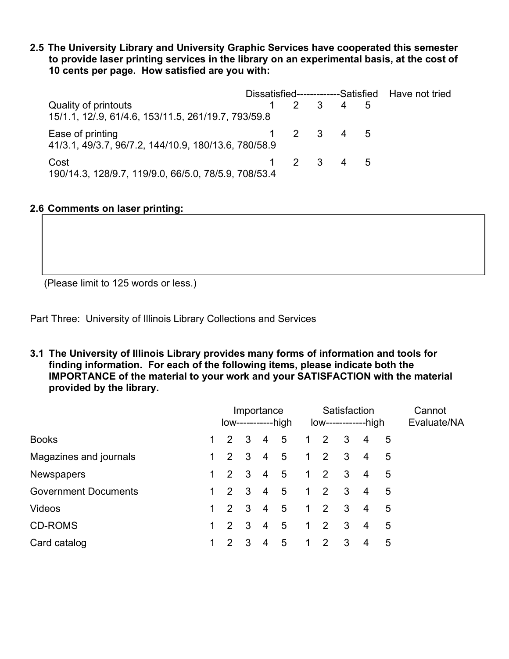**2.5 The University Library and University Graphic Services have cooperated this semester to provide laser printing services in the library on an experimental basis, at the cost of 10 cents per page. How satisfied are you with:**

|                                                                             |  |                 | Dissatisfied-------------Satisfied Have not tried |
|-----------------------------------------------------------------------------|--|-----------------|---------------------------------------------------|
| Quality of printouts<br>15/1.1, 12/.9, 61/4.6, 153/11.5, 261/19.7, 793/59.8 |  | $2 \t3 \t4 \t5$ |                                                   |
| Ease of printing<br>41/3.1, 49/3.7, 96/7.2, 144/10.9, 180/13.6, 780/58.9    |  | 1 2 3 4 5       |                                                   |
| Cost<br>190/14.3, 128/9.7, 119/9.0, 66/5.0, 78/5.9, 708/53.4                |  | 1 2 3 4 5       |                                                   |

### **2.6 Comments on laser printing:**

(Please limit to 125 words or less.)

Part Three: University of Illinois Library Collections and Services

**3.1 The University of Illinois Library provides many forms of information and tools for finding information. For each of the following items, please indicate both the IMPORTANCE of the material to your work and your SATISFACTION with the material provided by the library.**

|                             |              | Importance<br>low-----------high |                         |                | Satisfaction<br>$low$ -------------high |            |  |                         |   | Cannot<br>Evaluate/NA |  |
|-----------------------------|--------------|----------------------------------|-------------------------|----------------|-----------------------------------------|------------|--|-------------------------|---|-----------------------|--|
| <b>Books</b>                |              | $1\quad 2$                       | $\overline{\mathbf{3}}$ | $\overline{4}$ | - 5                                     | $1\quad 2$ |  | 3 <sup>3</sup>          | 4 | 5                     |  |
| Magazines and journals      | 1.           | $2 \quad 3$                      |                         | $\overline{4}$ | 5                                       | $1\quad 2$ |  | $\mathbf{3}$            | 4 | 5                     |  |
| <b>Newspapers</b>           | $\mathbf{1}$ | 2                                | $\overline{\mathbf{3}}$ | $\overline{4}$ | - 5                                     | $1\quad 2$ |  | $\mathbf{3}$            | 4 | 5                     |  |
| <b>Government Documents</b> | 1.           | $\overline{2}$                   | $\overline{\mathbf{3}}$ | $\overline{4}$ | 5                                       | $1\quad 2$ |  | $\overline{\mathbf{3}}$ | 4 | 5                     |  |
| <b>Videos</b>               | $1 \quad$    | $2 \quad 3$                      |                         | $\overline{4}$ | 5                                       | $1\quad 2$ |  | $\mathbf{3}$            | 4 | 5                     |  |
| <b>CD-ROMS</b>              | $\mathbf 1$  | 2                                | -3                      | $\overline{4}$ | 5                                       | $1\quad 2$ |  | $\mathbf{3}$            | 4 | 5                     |  |
| Card catalog                | 1            | $\mathcal{P}$                    | 3                       | 4              | 5                                       | $1\quad 2$ |  | $\mathbf{3}$            | 4 | 5                     |  |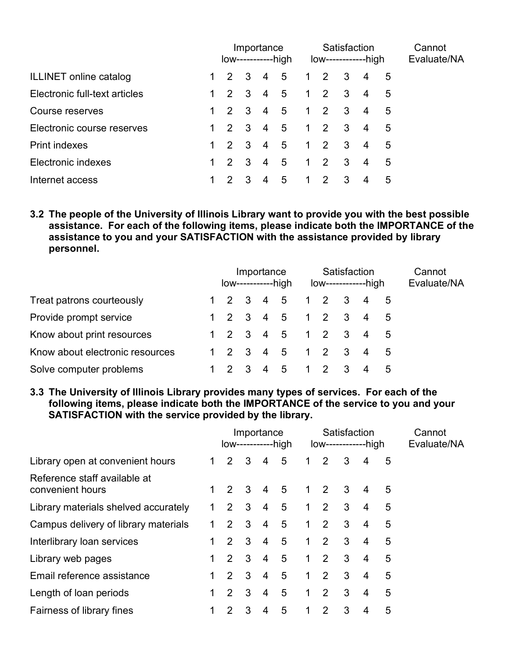|                               | Importance<br>low-----------high |                         |                | Satisfaction<br>$low$ --------------high |            |                     |                         |                | Cannot<br>Evaluate/NA |  |
|-------------------------------|----------------------------------|-------------------------|----------------|------------------------------------------|------------|---------------------|-------------------------|----------------|-----------------------|--|
| ILLINET online catalog        | $\mathcal{P}$                    | $\overline{\mathbf{3}}$ | -4             | 5                                        | $1\quad 2$ |                     | $\overline{\mathbf{3}}$ | 4              | 5                     |  |
| Electronic full-text articles | $1\quad 2\quad 3$                |                         | $\overline{4}$ | $-5$                                     |            | $1 \quad 2 \quad 3$ |                         | $\overline{4}$ | 5                     |  |
| Course reserves               | 2 3                              |                         | $\overline{4}$ | 5 <sup>5</sup>                           | $1\quad 2$ |                     | $\overline{\mathbf{3}}$ | $\overline{4}$ | 5                     |  |
| Electronic course reserves    | $1\quad 2\quad 3$                |                         | $\overline{4}$ | 5 <sup>5</sup>                           |            | $1 \quad 2 \quad 3$ |                         | $\overline{4}$ | 5                     |  |
| <b>Print indexes</b>          | 2 3                              |                         | $\overline{4}$ | $-5$                                     |            | $1 \quad 2 \quad 3$ |                         | $\overline{4}$ | 5                     |  |
| Electronic indexes            | $2 \quad 3$                      |                         | $\overline{4}$ | 5                                        | $1\quad 2$ |                     | $\mathbf{3}$            | 4              | 5                     |  |
| Internet access               |                                  | 3                       | 4              | 5                                        | 1          | 2                   | 3                       |                | 5                     |  |

**3.2 The people of the University of Illinois Library want to provide you with the best possible assistance. For each of the following items, please indicate both the IMPORTANCE of the assistance to you and your SATISFACTION with the assistance provided by library personnel.**

|                                 |  |  |                         |    | Importance<br>$low$ -------------high | Satisfaction<br>$low$ ----------------high |            |                   |                |     | Cannot<br>Evaluate/NA |
|---------------------------------|--|--|-------------------------|----|---------------------------------------|--------------------------------------------|------------|-------------------|----------------|-----|-----------------------|
| Treat patrons courteously       |  |  |                         |    | 1 2 3 4 5                             |                                            |            | $1\quad 2\quad 3$ | $\overline{4}$ | - 5 |                       |
| Provide prompt service          |  |  |                         |    | 1 2 3 4 5 1 2 3                       |                                            |            |                   | 4 5            |     |                       |
| Know about print resources      |  |  |                         |    | 1 2 3 4 5 1 2 3                       |                                            |            |                   | 4 5            |     |                       |
| Know about electronic resources |  |  |                         |    | 1 2 3 4 5 1 2 3                       |                                            |            |                   | 4 5            |     |                       |
| Solve computer problems         |  |  | $\overline{\mathbf{3}}$ | -4 | - 5                                   |                                            | $1\quad 2$ |                   |                | 5   |                       |

**3.3 The University of Illinois Library provides many types of services. For each of the following items, please indicate both the IMPORTANCE of the service to you and your SATISFACTION with the service provided by the library.**

|                                                  | Importance<br>$low$ --------------high |                | Satisfaction<br>$low$ ---------------high |                |   |                |                | Cannot<br>Evaluate/NA |   |   |  |
|--------------------------------------------------|----------------------------------------|----------------|-------------------------------------------|----------------|---|----------------|----------------|-----------------------|---|---|--|
| Library open at convenient hours                 |                                        | 2              | 3                                         | 4              | 5 | $\overline{1}$ | 2              | 3                     | 4 | 5 |  |
| Reference staff available at<br>convenient hours |                                        | $\mathbf{2}$   | 3                                         | 4              | 5 | 1              | $\overline{2}$ | 3                     | 4 | 5 |  |
| Library materials shelved accurately             |                                        | $\overline{2}$ | 3                                         | 4              | 5 | 1              | 2              | 3                     | 4 | 5 |  |
| Campus delivery of library materials             |                                        | $\mathcal{P}$  | 3                                         | 4              | 5 | 1.             | 2              | 3                     | 4 | 5 |  |
| Interlibrary loan services                       |                                        | 2              | 3                                         | 4              | 5 | 1              | 2              | 3                     | 4 | 5 |  |
| Library web pages                                |                                        | 2              | 3                                         | 4              | 5 | 1.             | 2              | 3                     | 4 | 5 |  |
| Email reference assistance                       |                                        | $\mathcal{P}$  | 3                                         | $\overline{4}$ | 5 | $\mathbf 1$    | 2              | 3                     | 4 | 5 |  |
| Length of loan periods                           |                                        | $\overline{2}$ | 3                                         | 4              | 5 | 1              | 2              | 3                     | 4 | 5 |  |
| Fairness of library fines                        |                                        | 2              | 3                                         | 4              | 5 | 1              | 2              | 3                     | 4 | 5 |  |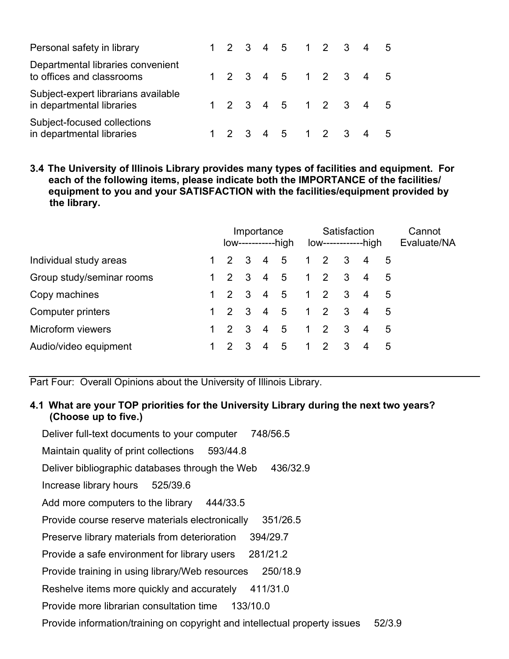| Personal safety in library                                       |  |  | 1 2 3 4 5 1 2 3 4 5 |  |  |  |
|------------------------------------------------------------------|--|--|---------------------|--|--|--|
| Departmental libraries convenient<br>to offices and classrooms   |  |  | 1 2 3 4 5 1 2 3 4 5 |  |  |  |
| Subject-expert librarians available<br>in departmental libraries |  |  | 1 2 3 4 5 1 2 3 4 5 |  |  |  |
| Subject-focused collections<br>in departmental libraries         |  |  | 1 2 3 4 5 1 2 3 4 5 |  |  |  |

**3.4 The University of Illinois Library provides many types of facilities and equipment. For each of the following items, please indicate both the IMPORTANCE of the facilities/ equipment to you and your SATISFACTION with the facilities/equipment provided by the library.**

|                           | Importance<br>low------------high |                                 |             |   |     | Satisfaction<br>low------------high |                 |   |                       |             | Cannot<br>Evaluate/NA |
|---------------------------|-----------------------------------|---------------------------------|-------------|---|-----|-------------------------------------|-----------------|---|-----------------------|-------------|-----------------------|
| Individual study areas    |                                   | 2 3 4 5                         |             |   |     |                                     | $1\quad2\quad3$ |   |                       | - 5         |                       |
| Group study/seminar rooms |                                   | $1\quad 2\quad 3\quad 4\quad 5$ |             |   |     |                                     | $123$           |   | $\overline{4}$<br>- 5 |             |                       |
| Copy machines             |                                   | $1\quad 2\quad 3\quad 4\quad 5$ |             |   |     |                                     | 123             |   |                       | $5^{\circ}$ |                       |
| Computer printers         |                                   | $1\quad 2\quad 3\quad 4\quad 5$ |             |   |     |                                     | 123             |   | $\overline{4}$        | 5           |                       |
| Microform viewers         |                                   | $1\quad 2$                      | $3 \quad 4$ |   | - 5 |                                     | $1\quad2\quad3$ |   | 4                     | 5           |                       |
| Audio/video equipment     |                                   |                                 | -3          | 4 | -5  | 1                                   | $\overline{2}$  | 3 | 4                     | 5           |                       |

Part Four: Overall Opinions about the University of Illinois Library.

### **4.1 What are your TOP priorities for the University Library during the next two years? (Choose up to five.)**

Deliver full-text documents to your computer 748/56.5 Maintain quality of print collections 593/44.8 Deliver bibliographic databases through the Web 436/32.9 Increase library hours 525/39.6 Add more computers to the library 444/33.5 Provide course reserve materials electronically 351/26.5 Preserve library materials from deterioration 394/29.7 Provide a safe environment for library users 281/21.2 Provide training in using library/Web resources 250/18.9 Reshelve items more quickly and accurately 411/31.0 Provide more librarian consultation time 133/10.0 Provide information/training on copyright and intellectual property issues 52/3.9